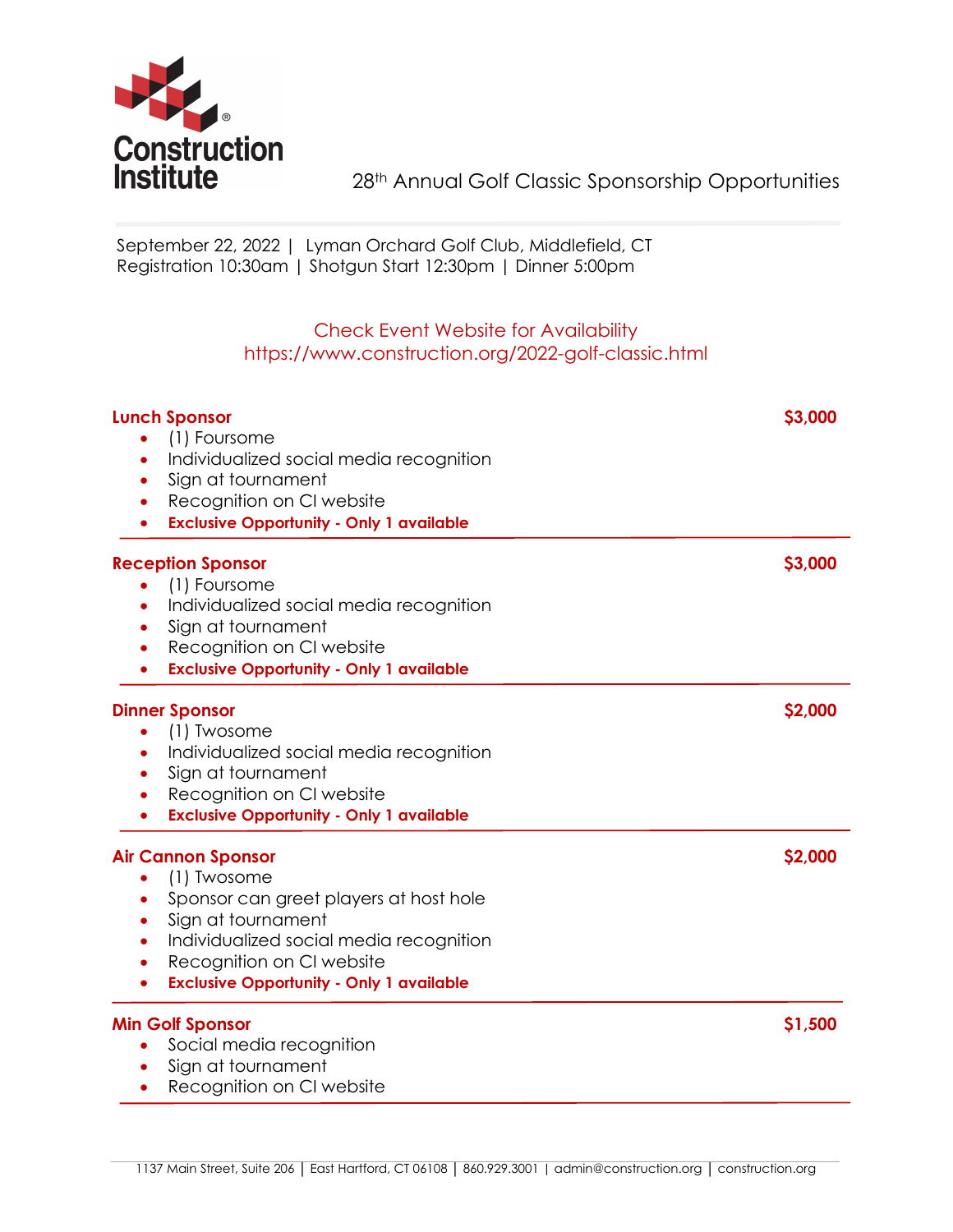

 September 22, 2022 | Lyman Orchard Golf Club, Middlefield, CT Registration 10:30am | Shotgun Start 12:30pm | Dinner 5:00pm

## Check Event Website for Availability https://www.construction.org/2022-golf-classic.html

| <b>Lunch Sponsor</b><br>(1) Foursome<br>Individualized social media recognition<br>$\bullet$<br>Sign at tournament<br>$\bullet$<br>Recognition on CI website<br>٠<br><b>Exclusive Opportunity - Only 1 available</b><br>$\bullet$                                                                    | \$3,000 |
|------------------------------------------------------------------------------------------------------------------------------------------------------------------------------------------------------------------------------------------------------------------------------------------------------|---------|
| <b>Reception Sponsor</b><br>(1) Foursome<br>Individualized social media recognition<br>٠<br>Sign at tournament<br>$\bullet$<br>Recognition on CI website<br>$\bullet$<br><b>Exclusive Opportunity - Only 1 available</b>                                                                             | \$3,000 |
| <b>Dinner Sponsor</b><br>(1) Twosome<br>۰<br>Individualized social media recognition<br>$\bullet$<br>Sign at tournament<br>$\bullet$<br>Recognition on CI website<br>$\bullet$<br><b>Exclusive Opportunity - Only 1 available</b><br>$\bullet$                                                       | \$2,000 |
| <b>Air Cannon Sponsor</b><br>(1) Twosome<br>Sponsor can greet players at host hole<br>$\bullet$<br>Sign at tournament<br>$\bullet$<br>Individualized social media recognition<br>$\bullet$<br>Recognition on CI website<br>$\bullet$<br><b>Exclusive Opportunity - Only 1 available</b><br>$\bullet$ | \$2,000 |
| <b>Min Golf Sponsor</b><br>Social media recognition<br>Sign at tournament<br>Recognition on CI website<br>$\bullet$                                                                                                                                                                                  | \$1,500 |